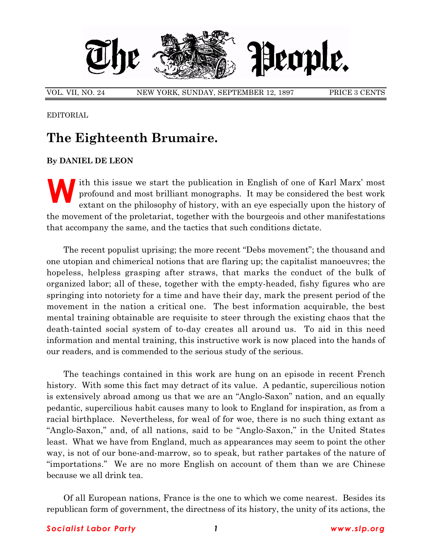

VOL. VII, NO. 24 NEW YORK, SUNDAY, SEPTEMBER 12, 1897 PRICE 3 CENTS

EDITORIAL

## **The Eighteenth Brumaire.**

## **By DANIEL DE LEON**

Ith this issue we start the publication in English of one of Karl Marx<sup>'</sup> most<br>profound and most brilliant monographs. It may be considered the best work<br>extant on the philosophy of history, with an eye especially upon the profound and most brilliant monographs. It may be considered the best work extant on the philosophy of history, with an eye especially upon the history of the movement of the proletariat, together with the bourgeois and other manifestations that accompany the same, and the tactics that such conditions dictate.

The recent populist uprising; the more recent "Debs movement"; the thousand and one utopian and chimerical notions that are flaring up; the capitalist manoeuvres; the hopeless, helpless grasping after straws, that marks the conduct of the bulk of organized labor; all of these, together with the empty-headed, fishy figures who are springing into notoriety for a time and have their day, mark the present period of the movement in the nation a critical one. The best information acquirable, the best mental training obtainable are requisite to steer through the existing chaos that the death-tainted social system of to-day creates all around us. To aid in this need information and mental training, this instructive work is now placed into the hands of our readers, and is commended to the serious study of the serious.

The teachings contained in this work are hung on an episode in recent French history. With some this fact may detract of its value. A pedantic, supercilious notion is extensively abroad among us that we are an "Anglo-Saxon" nation, and an equally pedantic, supercilious habit causes many to look to England for inspiration, as from a racial birthplace. Nevertheless, for weal of for woe, there is no such thing extant as "Anglo-Saxon," and, of all nations, said to be "Anglo-Saxon," in the United States least. What we have from England, much as appearances may seem to point the other way, is not of our bone-and-marrow, so to speak, but rather partakes of the nature of "importations." We are no more English on account of them than we are Chinese because we all drink tea.

Of all European nations, France is the one to which we come nearest. Besides its republican form of government, the directness of its history, the unity of its actions, the

## *Socialist Labor Party 1 www.slp.org*